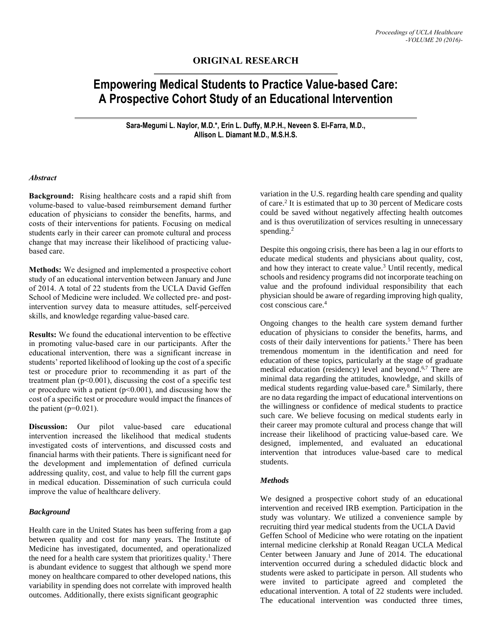## **ORIGINAL RESEARCH**

# **Empowering Medical Students to Practice Value-based Care: A Prospective Cohort Study of an Educational Intervention**

**Sara-Megumi L. Naylor, M.D.\*, Erin L. Duffy, M.P.H., Neveen S. El-Farra, M.D., Allison L. Diamant M.D., M.S.H.S.**

#### *Abstract*

**Background:** Rising healthcare costs and a rapid shift from volume-based to value-based reimbursement demand further education of physicians to consider the benefits, harms, and costs of their interventions for patients. Focusing on medical students early in their career can promote cultural and process change that may increase their likelihood of practicing valuebased care.

**Methods:** We designed and implemented a prospective cohort study of an educational intervention between January and June of 2014. A total of 22 students from the UCLA David Geffen School of Medicine were included. We collected pre- and postintervention survey data to measure attitudes, self-perceived skills, and knowledge regarding value-based care.

**Results:** We found the educational intervention to be effective in promoting value-based care in our participants. After the educational intervention, there was a significant increase in students' reported likelihood of looking up the cost of a specific test or procedure prior to recommending it as part of the treatment plan  $(p<0.001)$ , discussing the cost of a specific test or procedure with a patient  $(p<0.001)$ , and discussing how the cost of a specific test or procedure would impact the finances of the patient  $(p=0.021)$ .

**Discussion:** Our pilot value-based care educational intervention increased the likelihood that medical students investigated costs of interventions, and discussed costs and financial harms with their patients. There is significant need for the development and implementation of defined curricula addressing quality, cost, and value to help fill the current gaps in medical education. Dissemination of such curricula could improve the value of healthcare delivery.

## *Background*

Health care in the United States has been suffering from a gap between quality and cost for many years. The Institute of Medicine has investigated, documented, and operationalized the need for a health care system that prioritizes quality. <sup>1</sup> There is abundant evidence to suggest that although we spend more money on healthcare compared to other developed nations, this variability in spending does not correlate with improved health outcomes. Additionally, there exists significant geographic

variation in the U.S. regarding health care spending and quality of care. 2 It is estimated that up to 30 percent of Medicare costs could be saved without negatively affecting health outcomes and is thus overutilization of services resulting in unnecessary spending. $2$ 

Despite this ongoing crisis, there has been a lag in our efforts to educate medical students and physicians about quality, cost, and how they interact to create value. <sup>3</sup> Until recently, medical schools and residency programs did not incorporate teaching on value and the profound individual responsibility that each physician should be aware of regarding improving high quality, cost conscious care. 4

Ongoing changes to the health care system demand further education of physicians to consider the benefits, harms, and costs of their daily interventions for patients. <sup>5</sup> There has been tremendous momentum in the identification and need for education of these topics, particularly at the stage of graduate medical education (residency) level and beyond. 6,7 There are minimal data regarding the attitudes, knowledge, and skills of medical students regarding value-based care. <sup>8</sup> Similarly, there are no data regarding the impact of educational interventions on the willingness or confidence of medical students to practice such care. We believe focusing on medical students early in their career may promote cultural and process change that will increase their likelihood of practicing value-based care. We designed, implemented, and evaluated an educational intervention that introduces value-based care to medical students.

#### *Methods*

We designed a prospective cohort study of an educational intervention and received IRB exemption. Participation in the study was voluntary. We utilized a convenience sample by recruiting third year medical students from the UCLA David Geffen School of Medicine who were rotating on the inpatient internal medicine clerkship at Ronald Reagan UCLA Medical Center between January and June of 2014. The educational intervention occurred during a scheduled didactic block and students were asked to participate in person. All students who were invited to participate agreed and completed the educational intervention. A total of 22 students were included. The educational intervention was conducted three times,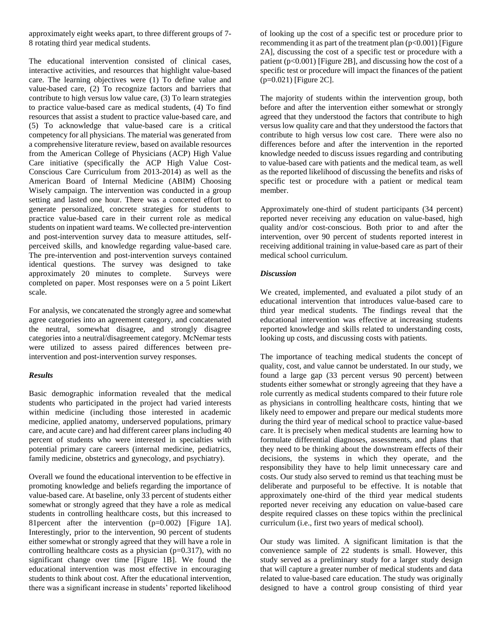approximately eight weeks apart, to three different groups of 7- 8 rotating third year medical students.

The educational intervention consisted of clinical cases, interactive activities, and resources that highlight value-based care. The learning objectives were (1) To define value and value-based care, (2) To recognize factors and barriers that contribute to high versus low value care, (3) To learn strategies to practice value-based care as medical students, (4) To find resources that assist a student to practice value-based care, and (5) To acknowledge that value-based care is a critical competency for all physicians. The material was generated from a comprehensive literature review, based on available resources from the American College of Physicians (ACP) High Value Care initiative (specifically the ACP High Value Cost-Conscious Care Curriculum from 2013-2014) as well as the American Board of Internal Medicine (ABIM) Choosing Wisely campaign. The intervention was conducted in a group setting and lasted one hour. There was a concerted effort to generate personalized, concrete strategies for students to practice value-based care in their current role as medical students on inpatient ward teams. We collected pre-intervention and post-intervention survey data to measure attitudes, selfperceived skills, and knowledge regarding value-based care. The pre-intervention and post-intervention surveys contained identical questions. The survey was designed to take approximately 20 minutes to complete. Surveys were completed on paper. Most responses were on a 5 point Likert scale.

For analysis, we concatenated the strongly agree and somewhat agree categories into an agreement category, and concatenated the neutral, somewhat disagree, and strongly disagree categories into a neutral/disagreement category. McNemar tests were utilized to assess paired differences between preintervention and post-intervention survey responses.

## *Results*

Basic demographic information revealed that the medical students who participated in the project had varied interests within medicine (including those interested in academic medicine, applied anatomy, underserved populations, primary care, and acute care) and had different career plans including 40 percent of students who were interested in specialties with potential primary care careers (internal medicine, pediatrics, family medicine, obstetrics and gynecology, and psychiatry).

Overall we found the educational intervention to be effective in promoting knowledge and beliefs regarding the importance of value-based care. At baseline, only 33 percent of students either somewhat or strongly agreed that they have a role as medical students in controlling healthcare costs, but this increased to 81percent after the intervention (p=0.002) [Figure 1A]. Interestingly, prior to the intervention, 90 percent of students either somewhat or strongly agreed that they will have a role in controlling healthcare costs as a physician ( $p=0.317$ ), with no significant change over time [Figure 1B]. We found the educational intervention was most effective in encouraging students to think about cost. After the educational intervention, there was a significant increase in students' reported likelihood

of looking up the cost of a specific test or procedure prior to recommending it as part of the treatment plan  $(p<0.001)$  [Figure 2A], discussing the cost of a specific test or procedure with a patient  $(p<0.001)$  [Figure 2B], and discussing how the cost of a specific test or procedure will impact the finances of the patient (p=0.021) [Figure 2C].

The majority of students within the intervention group, both before and after the intervention either somewhat or strongly agreed that they understood the factors that contribute to high versus low quality care and that they understood the factors that contribute to high versus low cost care. There were also no differences before and after the intervention in the reported knowledge needed to discuss issues regarding and contributing to value-based care with patients and the medical team, as well as the reported likelihood of discussing the benefits and risks of specific test or procedure with a patient or medical team member.

Approximately one-third of student participants (34 percent) reported never receiving any education on value-based, high quality and/or cost-conscious. Both prior to and after the intervention, over 90 percent of students reported interest in receiving additional training in value-based care as part of their medical school curriculum.

## *Discussion*

We created, implemented, and evaluated a pilot study of an educational intervention that introduces value-based care to third year medical students. The findings reveal that the educational intervention was effective at increasing students reported knowledge and skills related to understanding costs, looking up costs, and discussing costs with patients.

The importance of teaching medical students the concept of quality, cost, and value cannot be understated. In our study, we found a large gap (33 percent versus 90 percent) between students either somewhat or strongly agreeing that they have a role currently as medical students compared to their future role as physicians in controlling healthcare costs, hinting that we likely need to empower and prepare our medical students more during the third year of medical school to practice value-based care. It is precisely when medical students are learning how to formulate differential diagnoses, assessments, and plans that they need to be thinking about the downstream effects of their decisions, the systems in which they operate, and the responsibility they have to help limit unnecessary care and costs. Our study also served to remind us that teaching must be deliberate and purposeful to be effective. It is notable that approximately one-third of the third year medical students reported never receiving any education on value-based care despite required classes on these topics within the preclinical curriculum (i.e., first two years of medical school).

Our study was limited. A significant limitation is that the convenience sample of 22 students is small. However, this study served as a preliminary study for a larger study design that will capture a greater number of medical students and data related to value-based care education. The study was originally designed to have a control group consisting of third year